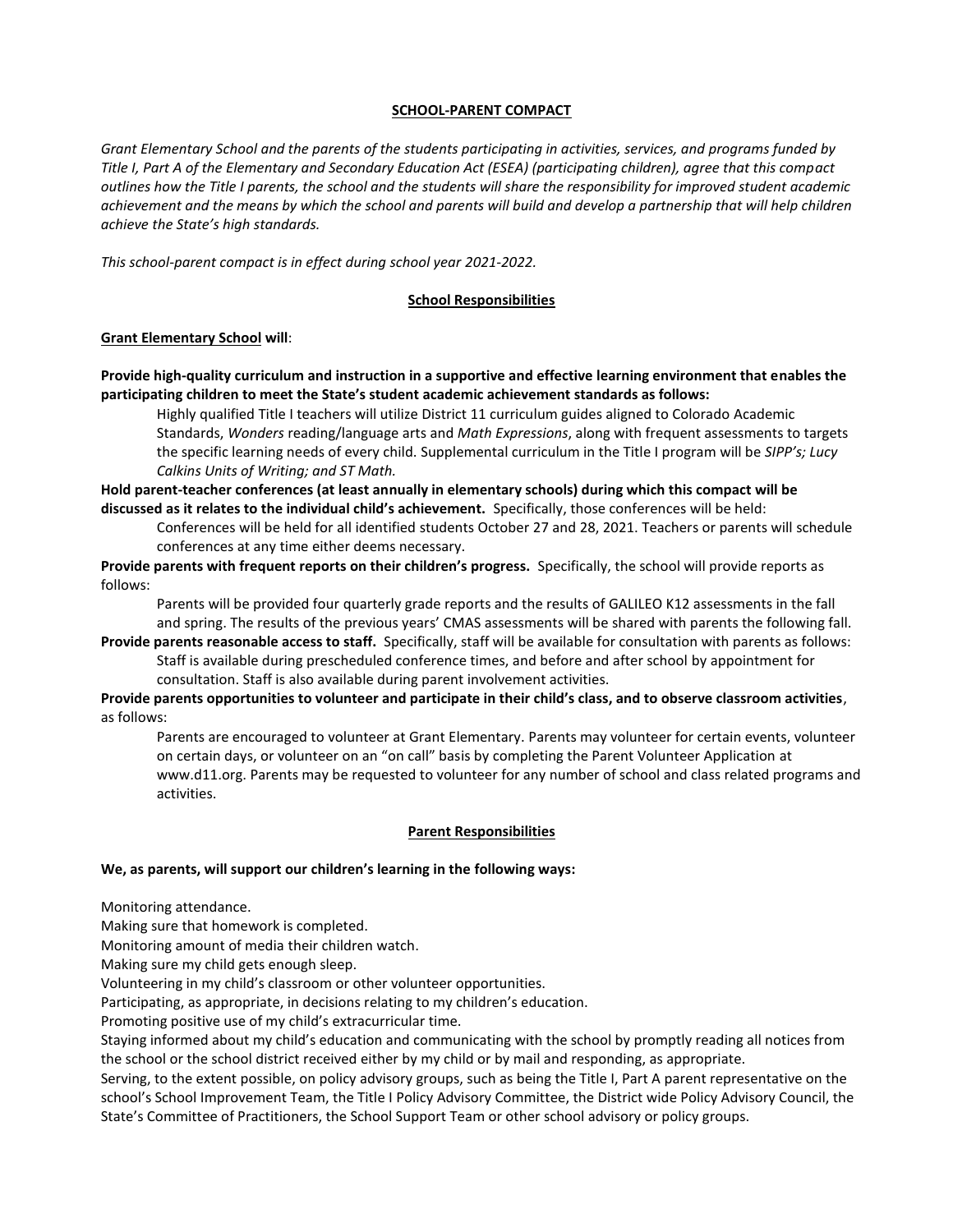# **SCHOOL-PARENT COMPACT**

*Grant Elementary School and the parents of the students participating in activities, services, and programs funded by Title I, Part A of the Elementary and Secondary Education Act (ESEA) (participating children), agree that this compact outlines how the Title I parents, the school and the students will share the responsibility for improved student academic achievement and the means by which the school and parents will build and develop a partnership that will help children achieve the State's high standards.*

*This school-parent compact is in effect during school year 2021-2022.*

## **School Responsibilities**

## **Grant Elementary School will**:

**Provide high-quality curriculum and instruction in a supportive and effective learning environment that enables the participating children to meet the State's student academic achievement standards as follows:**

Highly qualified Title I teachers will utilize District 11 curriculum guides aligned to Colorado Academic Standards, *Wonders* reading/language arts and *Math Expressions*, along with frequent assessments to targets the specific learning needs of every child. Supplemental curriculum in the Title I program will be *SIPP's; Lucy Calkins Units of Writing; and ST Math.*

**Hold parent-teacher conferences (at least annually in elementary schools) during which this compact will be discussed as it relates to the individual child's achievement.** Specifically, those conferences will be held:

Conferences will be held for all identified students October 27 and 28, 2021. Teachers or parents will schedule conferences at any time either deems necessary.

**Provide parents with frequent reports on their children's progress.** Specifically, the school will provide reports as follows:

Parents will be provided four quarterly grade reports and the results of GALILEO K12 assessments in the fall and spring. The results of the previous years' CMAS assessments will be shared with parents the following fall.

**Provide parents reasonable access to staff.** Specifically, staff will be available for consultation with parents as follows: Staff is available during prescheduled conference times, and before and after school by appointment for consultation. Staff is also available during parent involvement activities.

**Provide parents opportunities to volunteer and participate in their child's class, and to observe classroom activities**, as follows:

Parents are encouraged to volunteer at Grant Elementary. Parents may volunteer for certain events, volunteer on certain days, or volunteer on an "on call" basis by completing the Parent Volunteer Application at www.d11.org. Parents may be requested to volunteer for any number of school and class related programs and activities.

### **Parent Responsibilities**

### **We, as parents, will support our children's learning in the following ways:**

Monitoring attendance.

Making sure that homework is completed.

Monitoring amount of media their children watch.

Making sure my child gets enough sleep.

Volunteering in my child's classroom or other volunteer opportunities.

Participating, as appropriate, in decisions relating to my children's education.

Promoting positive use of my child's extracurricular time.

Staying informed about my child's education and communicating with the school by promptly reading all notices from the school or the school district received either by my child or by mail and responding, as appropriate.

Serving, to the extent possible, on policy advisory groups, such as being the Title I, Part A parent representative on the school's School Improvement Team, the Title I Policy Advisory Committee, the District wide Policy Advisory Council, the State's Committee of Practitioners, the School Support Team or other school advisory or policy groups.